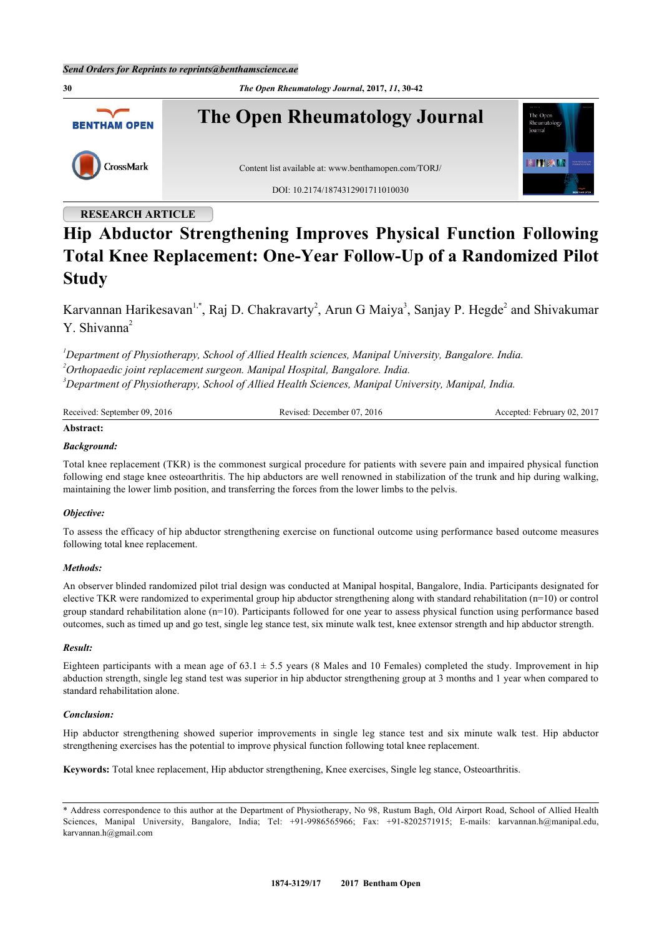**30** *The Open Rheumatology Journal***, 2017,** *11***, 30-42 The Open Rheumatology Journal** The Oper **BENTHAM OPEN** Rheumatolos **HITERIA** CrossMark Content list available at: [www.benthamopen.com/TORJ/](http://www.benthamopen.com/TORJ/) DOI: [10.2174/1874312901711010030](http://dx.doi.org/10.2174/1874312901711010030)

## **RESEARCH ARTICLE**

# **Hip Abductor Strengthening Improves Physical Function Following Total Knee Replacement: One-Year Follow-Up of a Randomized Pilot Study**

Karvannan Harikesavan<sup>[1,](#page-0-0)[\\*](#page-0-1)</sup>, Raj D. Chakravarty<sup>[2](#page-0-2)</sup>, Arun G Maiya<sup>[3](#page-0-3)</sup>, Sanjay P. Hegde<sup>2</sup> and Shivakumar Y. Shiyanna<sup>[2](#page-0-2)</sup>

<span id="page-0-2"></span><span id="page-0-0"></span>*<sup>1</sup>Department of Physiotherapy, School of Allied Health sciences, Manipal University, Bangalore. India. <sup>2</sup>Orthopaedic joint replacement surgeon. Manipal Hospital, Bangalore. India. <sup>3</sup>Department of Physiotherapy, School of Allied Health Sciences, Manipal University, Manipal, India.*

<span id="page-0-3"></span>

| Received: September 09, 2016 | Revised: December 07, 2016 | Accepted: February 02, 2017 |
|------------------------------|----------------------------|-----------------------------|
|                              |                            |                             |

# **Abstract:**

## *Background:*

Total knee replacement (TKR) is the commonest surgical procedure for patients with severe pain and impaired physical function following end stage knee osteoarthritis. The hip abductors are well renowned in stabilization of the trunk and hip during walking, maintaining the lower limb position, and transferring the forces from the lower limbs to the pelvis.

### *Objective:*

To assess the efficacy of hip abductor strengthening exercise on functional outcome using performance based outcome measures following total knee replacement.

### *Methods:*

An observer blinded randomized pilot trial design was conducted at Manipal hospital, Bangalore, India. Participants designated for elective TKR were randomized to experimental group hip abductor strengthening along with standard rehabilitation (n=10) or control group standard rehabilitation alone (n=10). Participants followed for one year to assess physical function using performance based outcomes, such as timed up and go test, single leg stance test, six minute walk test, knee extensor strength and hip abductor strength.

### *Result:*

Eighteen participants with a mean age of  $63.1 \pm 5.5$  years (8 Males and 10 Females) completed the study. Improvement in hip abduction strength, single leg stand test was superior in hip abductor strengthening group at 3 months and 1 year when compared to standard rehabilitation alone.

### *Conclusion:*

Hip abductor strengthening showed superior improvements in single leg stance test and six minute walk test. Hip abductor strengthening exercises has the potential to improve physical function following total knee replacement.

**Keywords:** Total knee replacement, Hip abductor strengthening, Knee exercises, Single leg stance, Osteoarthritis.

<span id="page-0-1"></span><sup>\*</sup> Address correspondence to this author at the Department of Physiotherapy, No 98, Rustum Bagh, Old Airport Road, School of Allied Health Sciences, Manipal University, Bangalore, India; Tel: +91-9986565966; Fax: +91-8202571915; E-mails: [karvannan.h@manipal.edu,](mailto:karvannan.h@manipal.edu) [karvannan.h@gmail.com](mailto:karvannan.h@gmail.com)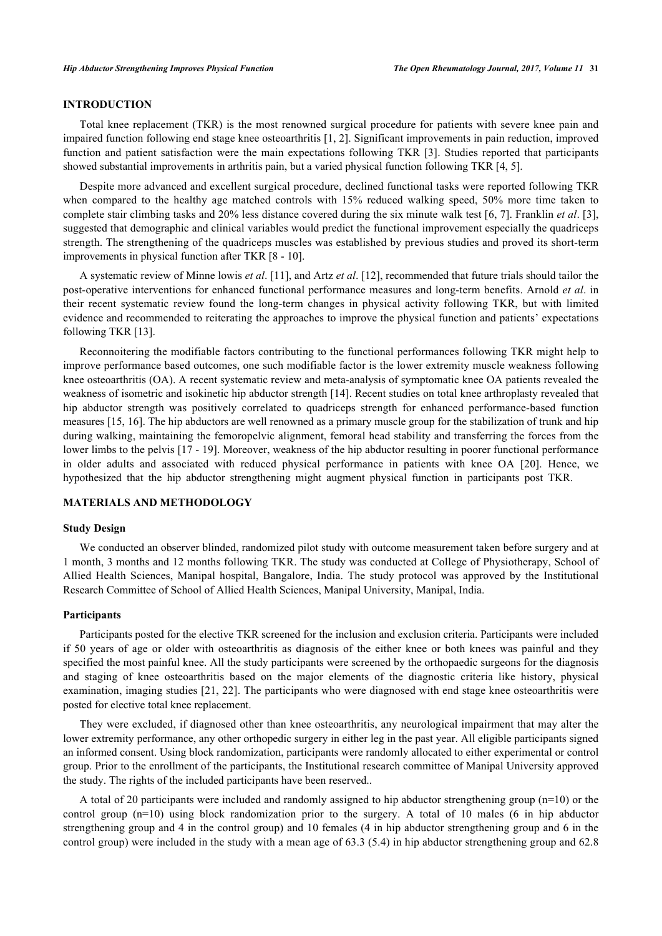## **INTRODUCTION**

Total knee replacement (TKR) is the most renowned surgical procedure for patients with severe knee pain and impaired function following end stage knee osteoarthritis [[1,](#page-9-0) [2](#page-10-0)]. Significant improvements in pain reduction, improved function and patient satisfaction were the main expectations following TKR [[3](#page-10-1)]. Studies reported that participants showed substantial improvements in arthritis pain, but a varied physical function following TKR [\[4](#page-10-2), [5](#page-10-3)].

Despite more advanced and excellent surgical procedure, declined functional tasks were reported following TKR when compared to the healthy age matched controls with 15% reduced walking speed, 50% more time taken to complete stair climbing tasks and 20% less distance covered during the six minute walk test [\[6,](#page-10-4) [7\]](#page-10-5). Franklin *et al*. [[3\]](#page-10-1), suggested that demographic and clinical variables would predict the functional improvement especially the quadriceps strength. The strengthening of the quadriceps muscles was established by previous studies and proved its short-term improvements in physical function after TKR [\[8](#page-10-6) - [10](#page-10-7)].

A systematic review of Minne lowis *et al*. [\[11](#page-10-8)], and Artz *et al*. [\[12](#page-10-9)], recommended that future trials should tailor the post-operative interventions for enhanced functional performance measures and long-term benefits. Arnold *et al*. in their recent systematic review found the long-term changes in physical activity following TKR, but with limited evidence and recommended to reiterating the approaches to improve the physical function and patients' expectations following TKR [[13\]](#page-10-10).

Reconnoitering the modifiable factors contributing to the functional performances following TKR might help to improve performance based outcomes, one such modifiable factor is the lower extremity muscle weakness following knee osteoarthritis (OA). A recent systematic review and meta-analysis of symptomatic knee OA patients revealed the weakness of isometric and isokinetic hip abductor strength [[14\]](#page-10-11). Recent studies on total knee arthroplasty revealed that hip abductor strength was positively correlated to quadriceps strength for enhanced performance-based function measures [[15,](#page-10-12) [16\]](#page-10-13). The hip abductors are well renowned as a primary muscle group for the stabilization of trunk and hip during walking, maintaining the femoropelvic alignment, femoral head stability and transferring the forces from the lower limbs to the pelvis [\[17](#page-10-14) - [19\]](#page-10-15). Moreover, weakness of the hip abductor resulting in poorer functional performance in older adults and associated with reduced physical performance in patients with knee OA[[20\]](#page-10-16). Hence, we hypothesized that the hip abductor strengthening might augment physical function in participants post TKR.

## **MATERIALS AND METHODOLOGY**

## **Study Design**

We conducted an observer blinded, randomized pilot study with outcome measurement taken before surgery and at 1 month, 3 months and 12 months following TKR. The study was conducted at College of Physiotherapy, School of Allied Health Sciences, Manipal hospital, Bangalore, India. The study protocol was approved by the Institutional Research Committee of School of Allied Health Sciences, Manipal University, Manipal, India.

#### **Participants**

Participants posted for the elective TKR screened for the inclusion and exclusion criteria. Participants were included if 50 years of age or older with osteoarthritis as diagnosis of the either knee or both knees was painful and they specified the most painful knee. All the study participants were screened by the orthopaedic surgeons for the diagnosis and staging of knee osteoarthritis based on the major elements of the diagnostic criteria like history, physical examination, imaging studies [\[21](#page-10-17), [22](#page-11-0)]. The participants who were diagnosed with end stage knee osteoarthritis were posted for elective total knee replacement.

They were excluded, if diagnosed other than knee osteoarthritis, any neurological impairment that may alter the lower extremity performance, any other orthopedic surgery in either leg in the past year. All eligible participants signed an informed consent. Using block randomization, participants were randomly allocated to either experimental or control group. Prior to the enrollment of the participants, the Institutional research committee of Manipal University approved the study. The rights of the included participants have been reserved..

A total of 20 participants were included and randomly assigned to hip abductor strengthening group (n=10) or the control group (n=10) using block randomization prior to the surgery. A total of 10 males (6 in hip abductor strengthening group and 4 in the control group) and 10 females (4 in hip abductor strengthening group and 6 in the control group) were included in the study with a mean age of 63.3 (5.4) in hip abductor strengthening group and 62.8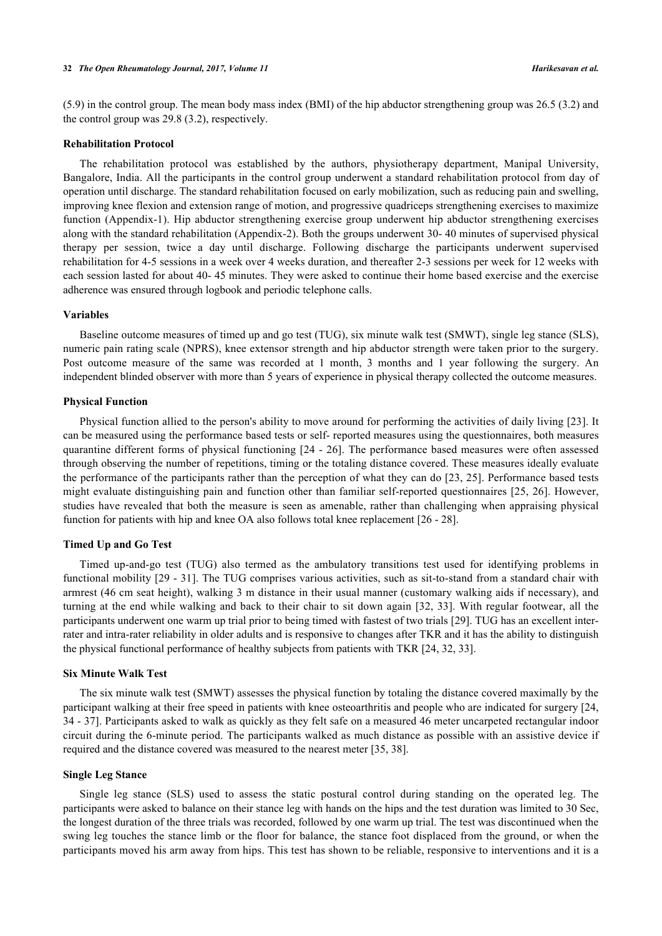(5.9) in the control group. The mean body mass index (BMI) of the hip abductor strengthening group was 26.5 (3.2) and the control group was 29.8 (3.2), respectively.

## **Rehabilitation Protocol**

The rehabilitation protocol was established by the authors, physiotherapy department, Manipal University, Bangalore, India. All the participants in the control group underwent a standard rehabilitation protocol from day of operation until discharge. The standard rehabilitation focused on early mobilization, such as reducing pain and swelling, improving knee flexion and extension range of motion, and progressive quadriceps strengthening exercises to maximize function (Appendix-1). Hip abductor strengthening exercise group underwent hip abductor strengthening exercises along with the standard rehabilitation (Appendix-2). Both the groups underwent 30- 40 minutes of supervised physical therapy per session, twice a day until discharge. Following discharge the participants underwent supervised rehabilitation for 4-5 sessions in a week over 4 weeks duration, and thereafter 2-3 sessions per week for 12 weeks with each session lasted for about 40- 45 minutes. They were asked to continue their home based exercise and the exercise adherence was ensured through logbook and periodic telephone calls.

#### **Variables**

Baseline outcome measures of timed up and go test (TUG), six minute walk test (SMWT), single leg stance (SLS), numeric pain rating scale (NPRS), knee extensor strength and hip abductor strength were taken prior to the surgery. Post outcome measure of the same was recorded at 1 month, 3 months and 1 year following the surgery. An independent blinded observer with more than 5 years of experience in physical therapy collected the outcome measures.

#### **Physical Function**

Physical function allied to the person's ability to move around for performing the activities of daily living [\[23\]](#page-11-1). It can be measured using the performance based tests or self- reported measures using the questionnaires, both measures quarantine different forms of physical functioning [\[24](#page-11-2) - [26](#page-11-3)]. The performance based measures were often assessed through observing the number of repetitions, timing or the totaling distance covered. These measures ideally evaluate the performance of the participants rather than the perception of what they can do [[23,](#page-11-1) [25\]](#page-11-4). Performance based tests might evaluate distinguishing pain and function other than familiar self-reported questionnaires [[25](#page-11-4), [26](#page-11-3)]. However, studies have revealed that both the measure is seen as amenable, rather than challenging when appraising physical function for patients with hip and knee OA also follows total knee replacement [[26](#page-11-3) - [28\]](#page-11-5).

#### **Timed Up and Go Test**

Timed up-and-go test (TUG) also termed as the ambulatory transitions test used for identifying problems in functional mobility [[29](#page-11-6) - [31\]](#page-11-7). The TUG comprises various activities, such as sit-to-stand from a standard chair with armrest (46 cm seat height), walking 3 m distance in their usual manner (customary walking aids if necessary), and turning at the end while walking and back to their chair to sit down again [\[32](#page-11-8), [33\]](#page-11-9). With regular footwear, all the participants underwent one warm up trial prior to being timed with fastest of two trials [[29](#page-11-6)]. TUG has an excellent interrater and intra-rater reliability in older adults and is responsive to changes after TKR and it has the ability to distinguish the physical functional performance of healthy subjects from patients with TKR [\[24](#page-11-2), [32](#page-11-8), [33](#page-11-9)].

#### **Six Minute Walk Test**

The six minute walk test (SMWT) assesses the physical function by totaling the distance covered maximally by the participant walking at their free speed in patients with knee osteoarthritis and people who are indicated for surgery [[24](#page-11-2), [34](#page-11-10) - [37\]](#page-11-11). Participants asked to walk as quickly as they felt safe on a measured 46 meter uncarpeted rectangular indoor circuit during the 6-minute period. The participants walked as much distance as possible with an assistive device if required and the distance covered was measured to the nearest meter [[35,](#page-11-12) [38\]](#page-11-13).

## **Single Leg Stance**

Single leg stance (SLS) used to assess the static postural control during standing on the operated leg. The participants were asked to balance on their stance leg with hands on the hips and the test duration was limited to 30 Sec, the longest duration of the three trials was recorded, followed by one warm up trial. The test was discontinued when the swing leg touches the stance limb or the floor for balance, the stance foot displaced from the ground, or when the participants moved his arm away from hips. This test has shown to be reliable, responsive to interventions and it is a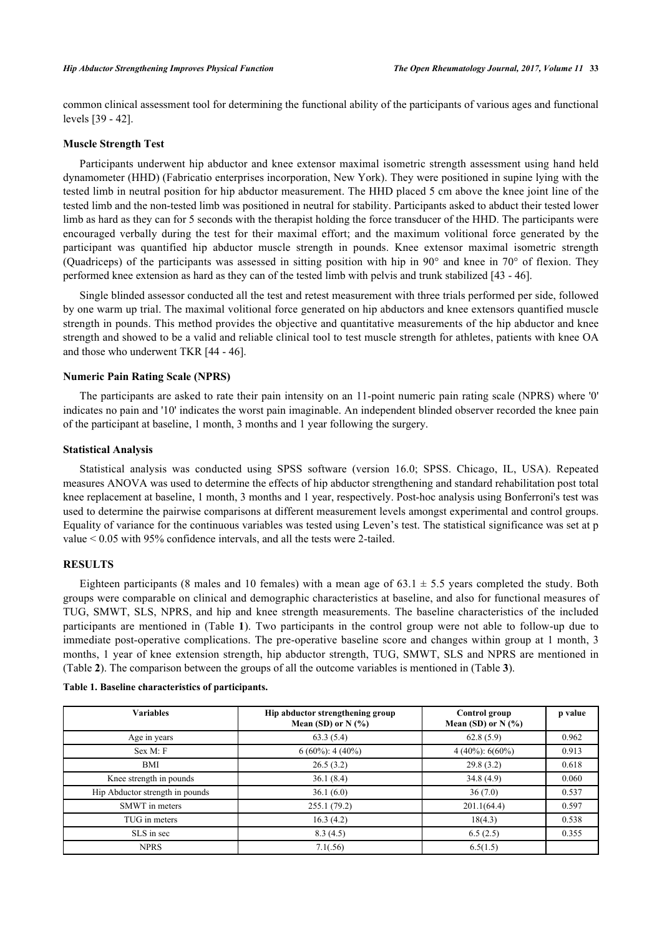common clinical assessment tool for determining the functional ability of the participants of various ages and functional levels [[39](#page-11-14) - [42](#page-12-0)].

## **Muscle Strength Test**

Participants underwent hip abductor and knee extensor maximal isometric strength assessment using hand held dynamometer (HHD) (Fabricatio enterprises incorporation, New York). They were positioned in supine lying with the tested limb in neutral position for hip abductor measurement. The HHD placed 5 cm above the knee joint line of the tested limb and the non-tested limb was positioned in neutral for stability. Participants asked to abduct their tested lower limb as hard as they can for 5 seconds with the therapist holding the force transducer of the HHD. The participants were encouraged verbally during the test for their maximal effort; and the maximum volitional force generated by the participant was quantified hip abductor muscle strength in pounds. Knee extensor maximal isometric strength (Quadriceps) of the participants was assessed in sitting position with hip in 90° and knee in 70° of flexion. They performed knee extension as hard as they can of the tested limb with pelvis and trunk stabilized [[43](#page-12-1) - [46](#page-12-2)].

Single blinded assessor conducted all the test and retest measurement with three trials performed per side, followed by one warm up trial. The maximal volitional force generated on hip abductors and knee extensors quantified muscle strength in pounds. This method provides the objective and quantitative measurements of the hip abductor and knee strength and showed to be a valid and reliable clinical tool to test muscle strength for athletes, patients with knee OA and those who underwent TKR [[44](#page-12-3) - [46\]](#page-12-2).

### **Numeric Pain Rating Scale (NPRS)**

The participants are asked to rate their pain intensity on an 11-point numeric pain rating scale (NPRS) where '0' indicates no pain and '10' indicates the worst pain imaginable. An independent blinded observer recorded the knee pain of the participant at baseline, 1 month, 3 months and 1 year following the surgery.

#### **Statistical Analysis**

Statistical analysis was conducted using SPSS software (version 16.0; SPSS. Chicago, IL, USA). Repeated measures ANOVA was used to determine the effects of hip abductor strengthening and standard rehabilitation post total knee replacement at baseline, 1 month, 3 months and 1 year, respectively. Post-hoc analysis using Bonferroni's test was used to determine the pairwise comparisons at different measurement levels amongst experimental and control groups. Equality of variance for the continuous variables was tested using Leven's test. The statistical significance was set at p value < 0.05 with 95% confidence intervals, and all the tests were 2-tailed.

## **RESULTS**

Eighteen participants (8 males and 10 females) with a mean age of  $63.1 \pm 5.5$  years completed the study. Both groups were comparable on clinical and demographic characteristics at baseline, and also for functional measures of TUG, SMWT, SLS, NPRS, and hip and knee strength measurements. The baseline characteristics of the included participants are mentioned in (Table**1**). Two participants in the control group were not able to follow-up due to immediate post-operative complications. The pre-operative baseline score and changes within group at 1 month, 3 months, 1 year of knee extension strength, hip abductor strength, TUG, SMWT, SLS and NPRS are mentioned in (Table **[2](#page-3-1)**). The comparison between the groups of all the outcome variables is mentioned in (Table **[3](#page-4-0)**).

<span id="page-3-1"></span>

| <b>Variables</b>                | Hip abductor strengthening group<br>Mean (SD) or $N$ (%) | Control group<br>Mean (SD) or $N$ (%) | p value |  |
|---------------------------------|----------------------------------------------------------|---------------------------------------|---------|--|
| Age in years                    | 63.3(5.4)                                                | 62.8(5.9)                             | 0.962   |  |
| Sex M: F                        | $6(60\%)$ : 4 (40%)                                      | $4(40\%)$ : 6(60%)                    | 0.913   |  |
| BMI                             | 26.5(3.2)                                                | 29.8(3.2)                             | 0.618   |  |
| Knee strength in pounds         | 36.1(8.4)                                                | 34.8(4.9)                             | 0.060   |  |
| Hip Abductor strength in pounds | 36.1(6.0)                                                | 36(7.0)                               | 0.537   |  |
| SMWT in meters                  | 255.1(79.2)                                              | 201.1(64.4)                           | 0.597   |  |
| TUG in meters                   | 16.3(4.2)                                                | 18(4.3)                               | 0.538   |  |
| SLS in sec                      | 8.3(4.5)                                                 | 6.5(2.5)                              | 0.355   |  |
| <b>NPRS</b>                     | 7.1(.56)                                                 | 6.5(1.5)                              |         |  |

<span id="page-3-0"></span>**Table 1. Baseline characteristics of participants.**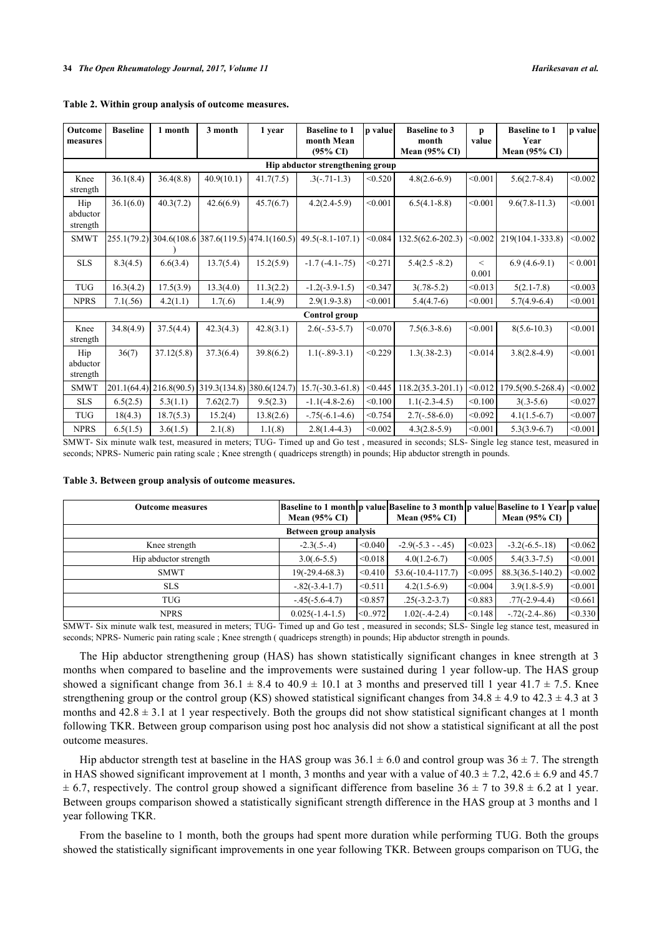| Outcome<br>measures              | <b>Baseline</b> | 1 month                   | 3 month                                           | 1 year    | <b>Baseline to 1</b><br>month Mean<br>$(95\% \text{ CI})$ | p value | <b>Baseline to 3</b><br>month<br><b>Mean (95% CI)</b> | p<br>value     | <b>Baseline to 1</b><br>Year<br>Mean $(95\% \text{ CI})$ | p value     |
|----------------------------------|-----------------|---------------------------|---------------------------------------------------|-----------|-----------------------------------------------------------|---------|-------------------------------------------------------|----------------|----------------------------------------------------------|-------------|
| Hip abductor strengthening group |                 |                           |                                                   |           |                                                           |         |                                                       |                |                                                          |             |
| Knee<br>strength                 | 36.1(8.4)       | 36.4(8.8)                 | 40.9(10.1)                                        | 41.7(7.5) | $.3(-.71-1.3)$                                            | < 0.520 | $4.8(2.6-6.9)$                                        | < 0.001        | $5.6(2.7 - 8.4)$                                         | < 0.002     |
| Hip<br>abductor<br>strength      | 36.1(6.0)       | 40.3(7.2)                 | 42.6(6.9)                                         | 45.7(6.7) | $4.2(2.4-5.9)$                                            | < 0.001 | $6.5(4.1-8.8)$                                        | < 0.001        | $9.6(7.8-11.3)$                                          | < 0.001     |
| <b>SMWT</b>                      |                 |                           | 255.1(79.2) 304.6(108.6 387.6(119.5) 474.1(160.5) |           | $49.5(-8.1 - 107.1)$                                      | < 0.084 | 132.5(62.6-202.3)                                     | < 0.002        | 219(104.1-333.8)                                         | < 0.002     |
| <b>SLS</b>                       | 8.3(4.5)        | 6.6(3.4)                  | 13.7(5.4)                                         | 15.2(5.9) | $-1.7(-4.1-.75)$                                          | < 0.271 | $5.4(2.5 - 8.2)$                                      | $\lt$<br>0.001 | $6.9(4.6-9.1)$                                           | ${}< 0.001$ |
| <b>TUG</b>                       | 16.3(4.2)       | 17.5(3.9)                 | 13.3(4.0)                                         | 11.3(2.2) | $-1.2(-3.9-1.5)$                                          | < 0.347 | $3(.78-5.2)$                                          | < 0.013        | $5(2.1 - 7.8)$                                           | < 0.003     |
| <b>NPRS</b>                      | 7.1(.56)        | 4.2(1.1)                  | 1.7(0.6)                                          | 1.4(.9)   | $2.9(1.9-3.8)$                                            | < 0.001 | $5.4(4.7-6)$                                          | < 0.001        | $5.7(4.9-6.4)$                                           | < 0.001     |
|                                  |                 |                           |                                                   |           | Control group                                             |         |                                                       |                |                                                          |             |
| Knee<br>strength                 | 34.8(4.9)       | 37.5(4.4)                 | 42.3(4.3)                                         | 42.8(3.1) | $2.6(-.53-5.7)$                                           | < 0.070 | $7.5(6.3-8.6)$                                        | < 0.001        | $8(5.6 - 10.3)$                                          | < 0.001     |
| Hip<br>abductor<br>strength      | 36(7)           | 37.12(5.8)                | 37.3(6.4)                                         | 39.8(6.2) | $1.1(-.89-3.1)$                                           | < 0.229 | $1.3(.38-2.3)$                                        | < 0.014        | $3.8(2.8-4.9)$                                           | < 0.001     |
| <b>SMWT</b>                      |                 | $201.1(64.4)$ 216.8(90.5) | 319.3(134.8) 380.6(124.7)                         |           | $15.7(-30.3-61.8)$                                        | < 0.445 | $118.2(35.3 - 201.1)$                                 | < 0.012        | 179.5(90.5-268.4)                                        | < 0.002     |
| <b>SLS</b>                       | 6.5(2.5)        | 5.3(1.1)                  | 7.62(2.7)                                         | 9.5(2.3)  | $-1.1(-4.8-2.6)$                                          | < 0.100 | $1.1(-2.3-4.5)$                                       | < 0.100        | $3(.3-5.6)$                                              | < 0.027     |
| <b>TUG</b>                       | 18(4.3)         | 18.7(5.3)                 | 15.2(4)                                           | 13.8(2.6) | $-.75(-6.1-4.6)$                                          | < 0.754 | $2.7(-.58-6.0)$                                       | < 0.092        | $4.1(1.5-6.7)$                                           | < 0.007     |
| <b>NPRS</b>                      | 6.5(1.5)        | 3.6(1.5)                  | 2.1(.8)                                           | 1.1(.8)   | $2.8(1.4-4.3)$                                            | < 0.002 | $4.3(2.8-5.9)$                                        | < 0.001        | $5.3(3.9-6.7)$                                           | < 0.001     |

#### **Table 2. Within group analysis of outcome measures.**

SMWT- Six minute walk test, measured in meters; TUG- Timed up and Go test , measured in seconds; SLS- Single leg stance test, measured in seconds; NPRS- Numeric pain rating scale ; Knee strength ( quadriceps strength) in pounds; Hip abductor strength in pounds.

<span id="page-4-0"></span>

| Table 3. Between group analysis of outcome measures. |  |  |  |  |  |
|------------------------------------------------------|--|--|--|--|--|
|------------------------------------------------------|--|--|--|--|--|

| <b>Outcome measures</b> | <b>Baseline to 1 month p value Baseline to 3 month p value Baseline to 1 Year p value</b><br>Mean $(95\% \text{ CI})$ |         | Mean $(95\% \text{ CI})$ |         | Mean $(95\% \text{ CI})$ |         |  |  |
|-------------------------|-----------------------------------------------------------------------------------------------------------------------|---------|--------------------------|---------|--------------------------|---------|--|--|
| Between group analysis  |                                                                                                                       |         |                          |         |                          |         |  |  |
| Knee strength           | $-2.3(.5-.4)$                                                                                                         | < 0.040 | $-2.9(-5.3 - -0.45)$     | < 0.023 | $-3.2(-6.5-18)$          | < 0.062 |  |  |
| Hip abductor strength   | $3.0(.6-5.5)$                                                                                                         | < 0.018 | $4.0(1.2-6.7)$           | < 0.005 | $5.4(3.3-7.5)$           | < 0.001 |  |  |
| <b>SMWT</b>             | $19(-29.4-68.3)$                                                                                                      | < 0.410 | $53.6(-10.4-117.7)$      | < 0.095 | 88.3(36.5-140.2)         | < 0.002 |  |  |
| <b>SLS</b>              | $-.82(-3.4-1.7)$                                                                                                      | < 0.511 | $4.2(1.5-6.9)$           | < 0.004 | $3.9(1.8-5.9)$           | < 0.001 |  |  |
| <b>TUG</b>              | $-45(-5.6-4.7)$                                                                                                       | < 0.857 | $.25(-3.2-3.7)$          | < 0.883 | $.77(-2.9-4.4)$          | < 0.661 |  |  |
| <b>NPRS</b>             | $0.025(-1.4-1.5)$                                                                                                     | < 0.972 | $1.02(-.4-2.4)$          | < 0.148 | $-72(-2.4-86)$           | < 0.330 |  |  |

SMWT- Six minute walk test, measured in meters; TUG- Timed up and Go test , measured in seconds; SLS- Single leg stance test, measured in seconds; NPRS- Numeric pain rating scale ; Knee strength ( quadriceps strength) in pounds; Hip abductor strength in pounds.

The Hip abductor strengthening group (HAS) has shown statistically significant changes in knee strength at 3 months when compared to baseline and the improvements were sustained during 1 year follow-up. The HAS group showed a significant change from  $36.1 \pm 8.4$  to  $40.9 \pm 10.1$  at 3 months and preserved till 1 year  $41.7 \pm 7.5$ . Knee strengthening group or the control group (KS) showed statistical significant changes from  $34.8 \pm 4.9$  to  $42.3 \pm 4.3$  at 3 months and  $42.8 \pm 3.1$  at 1 year respectively. Both the groups did not show statistical significant changes at 1 month following TKR. Between group comparison using post hoc analysis did not show a statistical significant at all the post outcome measures.

Hip abductor strength test at baseline in the HAS group was  $36.1 \pm 6.0$  and control group was  $36 \pm 7$ . The strength in HAS showed significant improvement at 1 month, 3 months and year with a value of  $40.3 \pm 7.2$ ,  $42.6 \pm 6.9$  and  $45.7$  $\pm$  6.7, respectively. The control group showed a significant difference from baseline 36  $\pm$  7 to 39.8  $\pm$  6.2 at 1 year. Between groups comparison showed a statistically significant strength difference in the HAS group at 3 months and 1 year following TKR.

From the baseline to 1 month, both the groups had spent more duration while performing TUG. Both the groups showed the statistically significant improvements in one year following TKR. Between groups comparison on TUG, the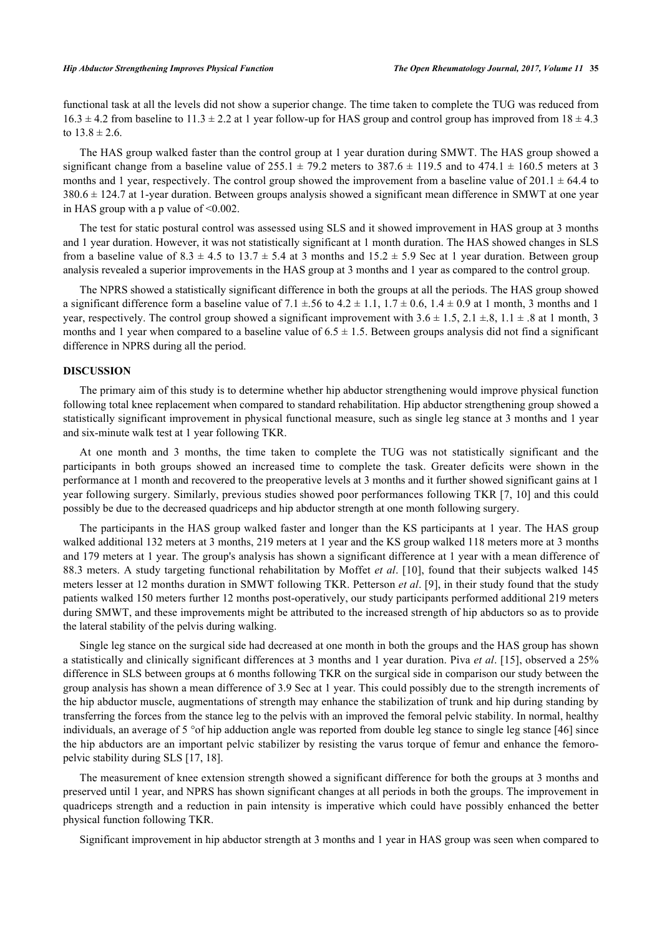functional task at all the levels did not show a superior change. The time taken to complete the TUG was reduced from  $16.3 \pm 4.2$  from baseline to  $11.3 \pm 2.2$  at 1 year follow-up for HAS group and control group has improved from  $18 \pm 4.3$ to  $13.8 \pm 2.6$ .

The HAS group walked faster than the control group at 1 year duration during SMWT. The HAS group showed a significant change from a baseline value of  $255.1 \pm 79.2$  meters to  $387.6 \pm 119.5$  and to  $474.1 \pm 160.5$  meters at 3 months and 1 year, respectively. The control group showed the improvement from a baseline value of  $201.1 \pm 64.4$  to  $380.6 \pm 124.7$  at 1-year duration. Between groups analysis showed a significant mean difference in SMWT at one year in HAS group with a p value of <0.002.

The test for static postural control was assessed using SLS and it showed improvement in HAS group at 3 months and 1 year duration. However, it was not statistically significant at 1 month duration. The HAS showed changes in SLS from a baseline value of  $8.3 \pm 4.5$  to  $13.7 \pm 5.4$  at 3 months and  $15.2 \pm 5.9$  Sec at 1 year duration. Between group analysis revealed a superior improvements in the HAS group at 3 months and 1 year as compared to the control group.

The NPRS showed a statistically significant difference in both the groups at all the periods. The HAS group showed a significant difference form a baseline value of  $7.1 \pm .56$  to  $4.2 \pm 1.1$ ,  $1.7 \pm 0.6$ ,  $1.4 \pm 0.9$  at 1 month, 3 months and 1 year, respectively. The control group showed a significant improvement with  $3.6 \pm 1.5$ ,  $2.1 \pm .8$ ,  $1.1 \pm .8$  at 1 month, 3 months and 1 year when compared to a baseline value of  $6.5 \pm 1.5$ . Between groups analysis did not find a significant difference in NPRS during all the period.

## **DISCUSSION**

The primary aim of this study is to determine whether hip abductor strengthening would improve physical function following total knee replacement when compared to standard rehabilitation. Hip abductor strengthening group showed a statistically significant improvement in physical functional measure, such as single leg stance at 3 months and 1 year and six-minute walk test at 1 year following TKR.

At one month and 3 months, the time taken to complete the TUG was not statistically significant and the participants in both groups showed an increased time to complete the task. Greater deficits were shown in the performance at 1 month and recovered to the preoperative levels at 3 months and it further showed significant gains at 1 year following surgery. Similarly, previous studies showed poor performances following TKR [\[7](#page-10-5), [10](#page-10-7)] and this could possibly be due to the decreased quadriceps and hip abductor strength at one month following surgery.

The participants in the HAS group walked faster and longer than the KS participants at 1 year. The HAS group walked additional 132 meters at 3 months, 219 meters at 1 year and the KS group walked 118 meters more at 3 months and 179 meters at 1 year. The group's analysis has shown a significant difference at 1 year with a mean difference of 88.3 meters. A study targeting functional rehabilitation by Moffet *et al*. [\[10\]](#page-10-7), found that their subjects walked 145 meters lesser at 12 months duration in SMWT following TKR. Petterson *et al*. [\[9\]](#page-10-18), in their study found that the study patients walked 150 meters further 12 months post-operatively, our study participants performed additional 219 meters during SMWT, and these improvements might be attributed to the increased strength of hip abductors so as to provide the lateral stability of the pelvis during walking.

Single leg stance on the surgical side had decreased at one month in both the groups and the HAS group has shown a statistically and clinically significant differences at 3 months and 1 year duration. Piva *et al*. [[15\]](#page-10-12), observed a 25% difference in SLS between groups at 6 months following TKR on the surgical side in comparison our study between the group analysis has shown a mean difference of 3.9 Sec at 1 year. This could possibly due to the strength increments of the hip abductor muscle, augmentations of strength may enhance the stabilization of trunk and hip during standing by transferring the forces from the stance leg to the pelvis with an improved the femoral pelvic stability. In normal, healthy individuals, an average of 5 °of hip adduction angle was reported from double leg stance to single leg stance [[46\]](#page-12-2) since the hip abductors are an important pelvic stabilizer by resisting the varus torque of femur and enhance the femoropelvic stability during SLS [\[17](#page-10-14), [18](#page-10-19)].

The measurement of knee extension strength showed a significant difference for both the groups at 3 months and preserved until 1 year, and NPRS has shown significant changes at all periods in both the groups. The improvement in quadriceps strength and a reduction in pain intensity is imperative which could have possibly enhanced the better physical function following TKR.

Significant improvement in hip abductor strength at 3 months and 1 year in HAS group was seen when compared to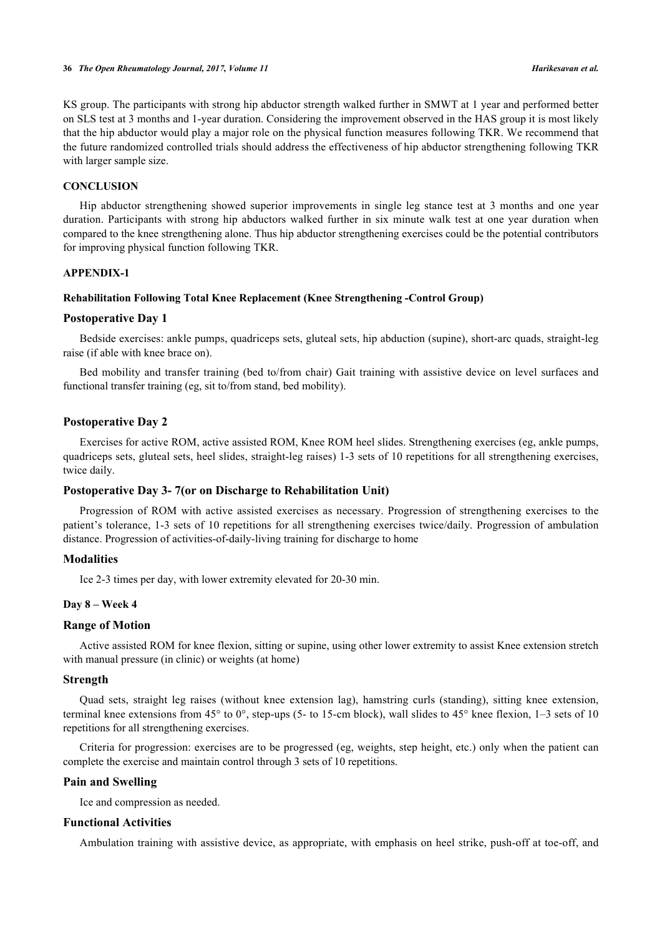KS group. The participants with strong hip abductor strength walked further in SMWT at 1 year and performed better on SLS test at 3 months and 1-year duration. Considering the improvement observed in the HAS group it is most likely that the hip abductor would play a major role on the physical function measures following TKR. We recommend that the future randomized controlled trials should address the effectiveness of hip abductor strengthening following TKR with larger sample size.

#### **CONCLUSION**

Hip abductor strengthening showed superior improvements in single leg stance test at 3 months and one year duration. Participants with strong hip abductors walked further in six minute walk test at one year duration when compared to the knee strengthening alone. Thus hip abductor strengthening exercises could be the potential contributors for improving physical function following TKR.

## **APPENDIX-1**

#### **Rehabilitation Following Total Knee Replacement (Knee Strengthening -Control Group)**

#### **Postoperative Day 1**

Bedside exercises: ankle pumps, quadriceps sets, gluteal sets, hip abduction (supine), short-arc quads, straight-leg raise (if able with knee brace on).

Bed mobility and transfer training (bed to/from chair) Gait training with assistive device on level surfaces and functional transfer training (eg, sit to/from stand, bed mobility).

## **Postoperative Day 2**

Exercises for active ROM, active assisted ROM, Knee ROM heel slides. Strengthening exercises (eg, ankle pumps, quadriceps sets, gluteal sets, heel slides, straight-leg raises) 1-3 sets of 10 repetitions for all strengthening exercises, twice daily.

## **Postoperative Day 3- 7(or on Discharge to Rehabilitation Unit)**

Progression of ROM with active assisted exercises as necessary. Progression of strengthening exercises to the patient's tolerance, 1-3 sets of 10 repetitions for all strengthening exercises twice/daily. Progression of ambulation distance. Progression of activities-of-daily-living training for discharge to home

## **Modalities**

Ice 2-3 times per day, with lower extremity elevated for 20-30 min.

### **Day 8 – Week 4**

## **Range of Motion**

Active assisted ROM for knee flexion, sitting or supine, using other lower extremity to assist Knee extension stretch with manual pressure (in clinic) or weights (at home)

#### **Strength**

Quad sets, straight leg raises (without knee extension lag), hamstring curls (standing), sitting knee extension, terminal knee extensions from  $45^{\circ}$  to  $0^{\circ}$ , step-ups (5- to 15-cm block), wall slides to  $45^{\circ}$  knee flexion, 1–3 sets of 10 repetitions for all strengthening exercises.

Criteria for progression: exercises are to be progressed (eg, weights, step height, etc.) only when the patient can complete the exercise and maintain control through 3 sets of 10 repetitions.

## **Pain and Swelling**

Ice and compression as needed.

## **Functional Activities**

Ambulation training with assistive device, as appropriate, with emphasis on heel strike, push-off at toe-off, and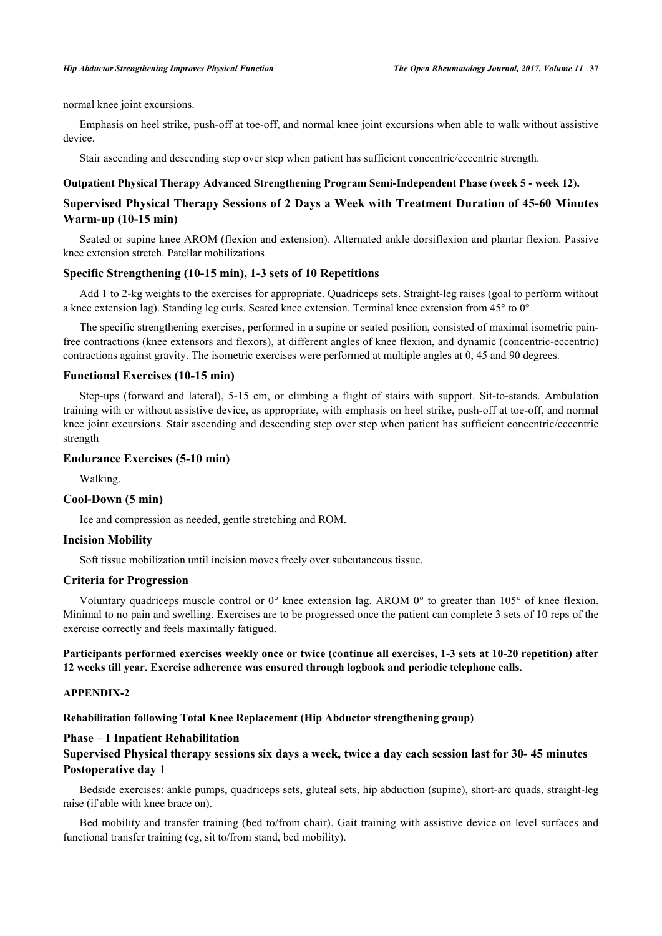normal knee joint excursions.

Emphasis on heel strike, push-off at toe-off, and normal knee joint excursions when able to walk without assistive device.

Stair ascending and descending step over step when patient has sufficient concentric/eccentric strength.

#### **Outpatient Physical Therapy Advanced Strengthening Program Semi-Independent Phase (week 5 - week 12).**

## **Supervised Physical Therapy Sessions of 2 Days a Week with Treatment Duration of 45-60 Minutes Warm-up (10-15 min)**

Seated or supine knee AROM (flexion and extension). Alternated ankle dorsiflexion and plantar flexion. Passive knee extension stretch. Patellar mobilizations

## **Specific Strengthening (10-15 min), 1-3 sets of 10 Repetitions**

Add 1 to 2-kg weights to the exercises for appropriate. Quadriceps sets. Straight-leg raises (goal to perform without a knee extension lag). Standing leg curls. Seated knee extension. Terminal knee extension from 45° to 0°

The specific strengthening exercises, performed in a supine or seated position, consisted of maximal isometric painfree contractions (knee extensors and flexors), at different angles of knee flexion, and dynamic (concentric-eccentric) contractions against gravity. The isometric exercises were performed at multiple angles at 0, 45 and 90 degrees.

## **Functional Exercises (10-15 min)**

Step-ups (forward and lateral), 5-15 cm, or climbing a flight of stairs with support. Sit-to-stands. Ambulation training with or without assistive device, as appropriate, with emphasis on heel strike, push-off at toe-off, and normal knee joint excursions. Stair ascending and descending step over step when patient has sufficient concentric/eccentric strength

## **Endurance Exercises (5-10 min)**

Walking.

## **Cool-Down (5 min)**

Ice and compression as needed, gentle stretching and ROM.

## **Incision Mobility**

Soft tissue mobilization until incision moves freely over subcutaneous tissue.

## **Criteria for Progression**

Voluntary quadriceps muscle control or 0° knee extension lag. AROM 0° to greater than 105° of knee flexion. Minimal to no pain and swelling. Exercises are to be progressed once the patient can complete 3 sets of 10 reps of the exercise correctly and feels maximally fatigued.

## **Participants performed exercises weekly once or twice (continue all exercises, 1-3 sets at 10-20 repetition) after 12 weeks till year. Exercise adherence was ensured through logbook and periodic telephone calls.**

## **APPENDIX-2**

**Rehabilitation following Total Knee Replacement (Hip Abductor strengthening group)**

## **Phase – I Inpatient Rehabilitation**

## **Supervised Physical therapy sessions six days a week, twice a day each session last for 30- 45 minutes Postoperative day 1**

Bedside exercises: ankle pumps, quadriceps sets, gluteal sets, hip abduction (supine), short-arc quads, straight-leg raise (if able with knee brace on).

Bed mobility and transfer training (bed to/from chair). Gait training with assistive device on level surfaces and functional transfer training (eg, sit to/from stand, bed mobility).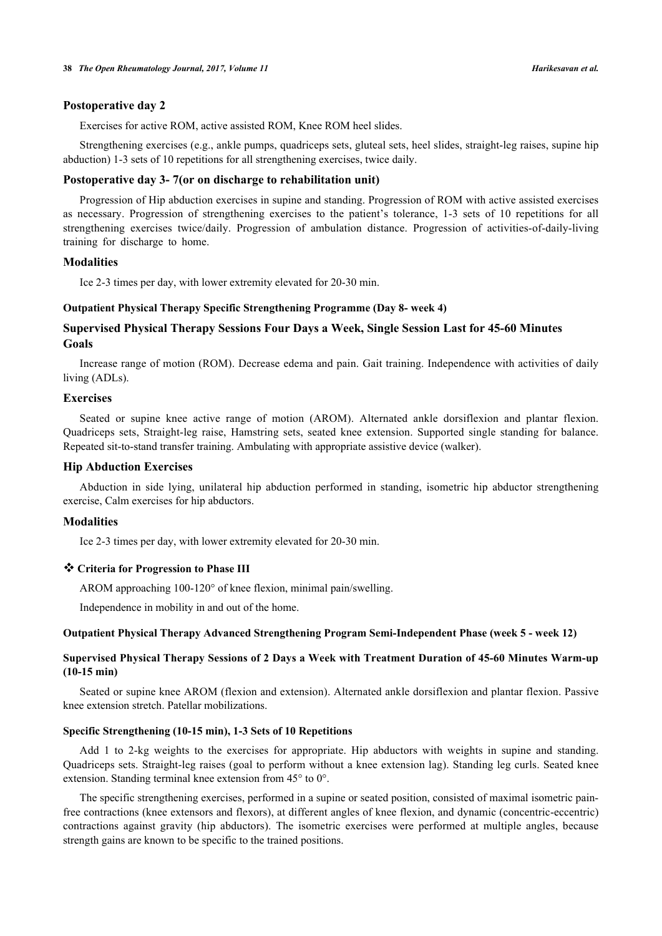#### **Postoperative day 2**

Exercises for active ROM, active assisted ROM, Knee ROM heel slides.

Strengthening exercises (e.g., ankle pumps, quadriceps sets, gluteal sets, heel slides, straight-leg raises, supine hip abduction) 1-3 sets of 10 repetitions for all strengthening exercises, twice daily.

## **Postoperative day 3- 7(or on discharge to rehabilitation unit)**

Progression of Hip abduction exercises in supine and standing. Progression of ROM with active assisted exercises as necessary. Progression of strengthening exercises to the patient's tolerance, 1-3 sets of 10 repetitions for all strengthening exercises twice/daily. Progression of ambulation distance. Progression of activities-of-daily-living training for discharge to home.

## **Modalities**

Ice 2-3 times per day, with lower extremity elevated for 20-30 min.

#### **Outpatient Physical Therapy Specific Strengthening Programme (Day 8- week 4)**

## **Supervised Physical Therapy Sessions Four Days a Week, Single Session Last for 45-60 Minutes Goals**

Increase range of motion (ROM). Decrease edema and pain. Gait training. Independence with activities of daily living (ADLs).

#### **Exercises**

Seated or supine knee active range of motion (AROM). Alternated ankle dorsiflexion and plantar flexion. Quadriceps sets, Straight-leg raise, Hamstring sets, seated knee extension. Supported single standing for balance. Repeated sit-to-stand transfer training. Ambulating with appropriate assistive device (walker).

## **Hip Abduction Exercises**

Abduction in side lying, unilateral hip abduction performed in standing, isometric hip abductor strengthening exercise, Calm exercises for hip abductors.

### **Modalities**

Ice 2-3 times per day, with lower extremity elevated for 20-30 min.

## **Criteria for Progression to Phase III**

AROM approaching 100-120° of knee flexion, minimal pain/swelling.

Independence in mobility in and out of the home.

#### **Outpatient Physical Therapy Advanced Strengthening Program Semi-Independent Phase (week 5 - week 12)**

## **Supervised Physical Therapy Sessions of 2 Days a Week with Treatment Duration of 45-60 Minutes Warm-up (10-15 min)**

Seated or supine knee AROM (flexion and extension). Alternated ankle dorsiflexion and plantar flexion. Passive knee extension stretch. Patellar mobilizations.

#### **Specific Strengthening (10-15 min), 1-3 Sets of 10 Repetitions**

Add 1 to 2-kg weights to the exercises for appropriate. Hip abductors with weights in supine and standing. Quadriceps sets. Straight-leg raises (goal to perform without a knee extension lag). Standing leg curls. Seated knee extension. Standing terminal knee extension from 45° to 0°.

The specific strengthening exercises, performed in a supine or seated position, consisted of maximal isometric painfree contractions (knee extensors and flexors), at different angles of knee flexion, and dynamic (concentric-eccentric) contractions against gravity (hip abductors). The isometric exercises were performed at multiple angles, because strength gains are known to be specific to the trained positions.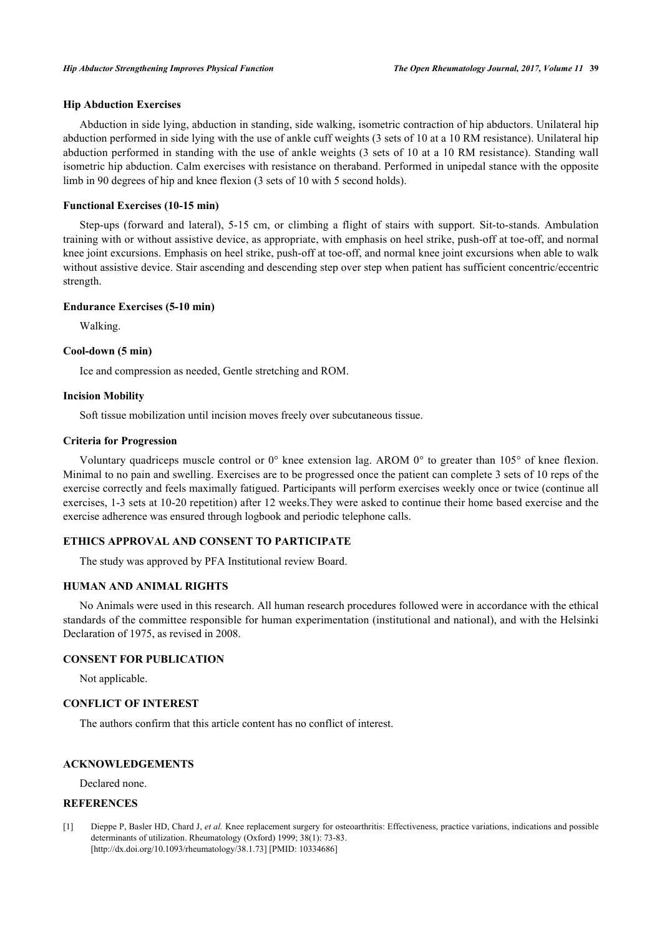## **Hip Abduction Exercises**

Abduction in side lying, abduction in standing, side walking, isometric contraction of hip abductors. Unilateral hip abduction performed in side lying with the use of ankle cuff weights (3 sets of 10 at a 10 RM resistance). Unilateral hip abduction performed in standing with the use of ankle weights (3 sets of 10 at a 10 RM resistance). Standing wall isometric hip abduction. Calm exercises with resistance on theraband. Performed in unipedal stance with the opposite limb in 90 degrees of hip and knee flexion (3 sets of 10 with 5 second holds).

### **Functional Exercises (10-15 min)**

Step-ups (forward and lateral), 5-15 cm, or climbing a flight of stairs with support. Sit-to-stands. Ambulation training with or without assistive device, as appropriate, with emphasis on heel strike, push-off at toe-off, and normal knee joint excursions. Emphasis on heel strike, push-off at toe-off, and normal knee joint excursions when able to walk without assistive device. Stair ascending and descending step over step when patient has sufficient concentric/eccentric strength.

#### **Endurance Exercises (5-10 min)**

Walking.

#### **Cool-down (5 min)**

Ice and compression as needed, Gentle stretching and ROM.

#### **Incision Mobility**

Soft tissue mobilization until incision moves freely over subcutaneous tissue.

#### **Criteria for Progression**

Voluntary quadriceps muscle control or 0° knee extension lag. AROM 0° to greater than 105° of knee flexion. Minimal to no pain and swelling. Exercises are to be progressed once the patient can complete 3 sets of 10 reps of the exercise correctly and feels maximally fatigued. Participants will perform exercises weekly once or twice (continue all exercises, 1-3 sets at 10-20 repetition) after 12 weeks.They were asked to continue their home based exercise and the exercise adherence was ensured through logbook and periodic telephone calls.

## **ETHICS APPROVAL AND CONSENT TO PARTICIPATE**

The study was approved by PFA Institutional review Board.

### **HUMAN AND ANIMAL RIGHTS**

No Animals were used in this research. All human research procedures followed were in accordance with the ethical standards of the committee responsible for human experimentation (institutional and national), and with the Helsinki Declaration of 1975, as revised in 2008.

## **CONSENT FOR PUBLICATION**

Not applicable.

## **CONFLICT OF INTEREST**

The authors confirm that this article content has no conflict of interest.

## **ACKNOWLEDGEMENTS**

Declared none.

## **REFERENCES**

<span id="page-9-0"></span>[1] Dieppe P, Basler HD, Chard J, *et al.* Knee replacement surgery for osteoarthritis: Effectiveness, practice variations, indications and possible determinants of utilization. Rheumatology (Oxford) 1999; 38(1): 73-83. [\[http://dx.doi.org/10.1093/rheumatology/38.1.73](http://dx.doi.org/10.1093/rheumatology/38.1.73)] [PMID: [10334686](http://www.ncbi.nlm.nih.gov/pubmed/10334686)]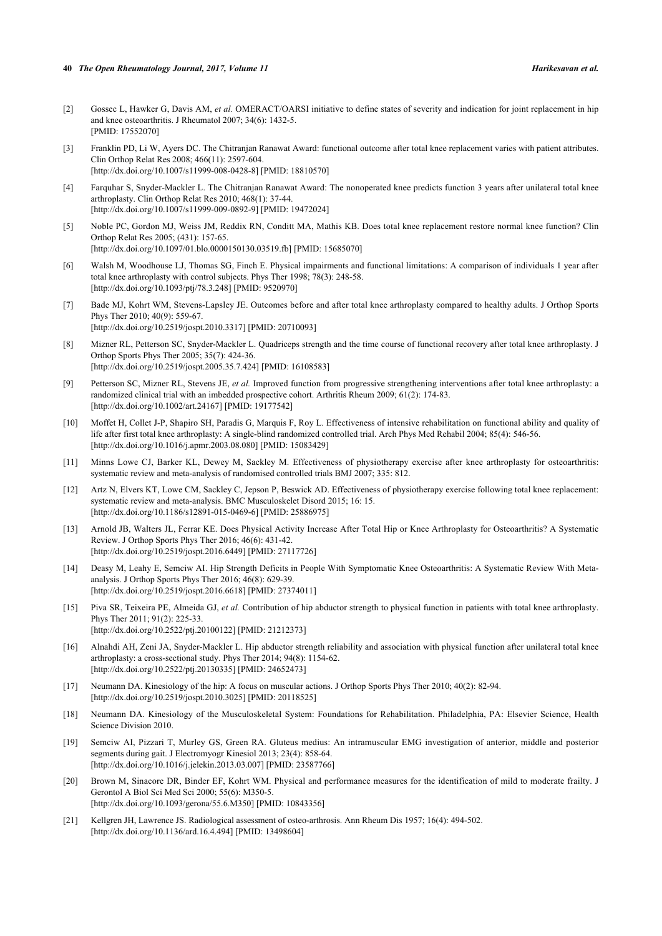- <span id="page-10-0"></span>[2] Gossec L, Hawker G, Davis AM, *et al.* OMERACT/OARSI initiative to define states of severity and indication for joint replacement in hip and knee osteoarthritis. J Rheumatol 2007; 34(6): 1432-5. [PMID: [17552070\]](http://www.ncbi.nlm.nih.gov/pubmed/17552070)
- <span id="page-10-1"></span>[3] Franklin PD, Li W, Ayers DC. The Chitranjan Ranawat Award: functional outcome after total knee replacement varies with patient attributes. Clin Orthop Relat Res 2008; 466(11): 2597-604. [\[http://dx.doi.org/10.1007/s11999-008-0428-8\]](http://dx.doi.org/10.1007/s11999-008-0428-8) [PMID: [18810570](http://www.ncbi.nlm.nih.gov/pubmed/18810570)]
- <span id="page-10-2"></span>[4] Farquhar S, Snyder-Mackler L. The Chitranjan Ranawat Award: The nonoperated knee predicts function 3 years after unilateral total knee arthroplasty. Clin Orthop Relat Res 2010; 468(1): 37-44. [\[http://dx.doi.org/10.1007/s11999-009-0892-9\]](http://dx.doi.org/10.1007/s11999-009-0892-9) [PMID: [19472024](http://www.ncbi.nlm.nih.gov/pubmed/19472024)]
- <span id="page-10-3"></span>[5] Noble PC, Gordon MJ, Weiss JM, Reddix RN, Conditt MA, Mathis KB. Does total knee replacement restore normal knee function? Clin Orthop Relat Res 2005; (431): 157-65. [\[http://dx.doi.org/10.1097/01.blo.0000150130.03519.fb\]](http://dx.doi.org/10.1097/01.blo.0000150130.03519.fb) [PMID: [15685070](http://www.ncbi.nlm.nih.gov/pubmed/15685070)]
- <span id="page-10-4"></span>[6] Walsh M, Woodhouse LJ, Thomas SG, Finch E. Physical impairments and functional limitations: A comparison of individuals 1 year after total knee arthroplasty with control subjects. Phys Ther 1998; 78(3): 248-58. [\[http://dx.doi.org/10.1093/ptj/78.3.248](http://dx.doi.org/10.1093/ptj/78.3.248)] [PMID: [9520970](http://www.ncbi.nlm.nih.gov/pubmed/9520970)]
- <span id="page-10-5"></span>[7] Bade MJ, Kohrt WM, Stevens-Lapsley JE. Outcomes before and after total knee arthroplasty compared to healthy adults. J Orthop Sports Phys Ther 2010; 40(9): 559-67. [\[http://dx.doi.org/10.2519/jospt.2010.3317](http://dx.doi.org/10.2519/jospt.2010.3317)] [PMID: [20710093\]](http://www.ncbi.nlm.nih.gov/pubmed/20710093)
- <span id="page-10-6"></span>[8] Mizner RL, Petterson SC, Snyder-Mackler L. Quadriceps strength and the time course of functional recovery after total knee arthroplasty. J Orthop Sports Phys Ther 2005; 35(7): 424-36. [\[http://dx.doi.org/10.2519/jospt.2005.35.7.424](http://dx.doi.org/10.2519/jospt.2005.35.7.424)] [PMID: [16108583\]](http://www.ncbi.nlm.nih.gov/pubmed/16108583)
- <span id="page-10-18"></span>[9] Petterson SC, Mizner RL, Stevens JE, *et al.* Improved function from progressive strengthening interventions after total knee arthroplasty: a randomized clinical trial with an imbedded prospective cohort. Arthritis Rheum 2009; 61(2): 174-83. [\[http://dx.doi.org/10.1002/art.24167](http://dx.doi.org/10.1002/art.24167)] [PMID: [19177542\]](http://www.ncbi.nlm.nih.gov/pubmed/19177542)
- <span id="page-10-7"></span>[10] Moffet H, Collet J-P, Shapiro SH, Paradis G, Marquis F, Roy L. Effectiveness of intensive rehabilitation on functional ability and quality of life after first total knee arthroplasty: A single-blind randomized controlled trial. Arch Phys Med Rehabil 2004; 85(4): 546-56. [\[http://dx.doi.org/10.1016/j.apmr.2003.08.080](http://dx.doi.org/10.1016/j.apmr.2003.08.080)] [PMID: [15083429](http://www.ncbi.nlm.nih.gov/pubmed/15083429)]
- <span id="page-10-8"></span>[11] Minns Lowe CJ, Barker KL, Dewey M, Sackley M. Effectiveness of physiotherapy exercise after knee arthroplasty for osteoarthritis: systematic review and meta-analysis of randomised controlled trials BMJ 2007; 335: 812.
- <span id="page-10-9"></span>[12] Artz N, Elvers KT, Lowe CM, Sackley C, Jepson P, Beswick AD. Effectiveness of physiotherapy exercise following total knee replacement: systematic review and meta-analysis. BMC Musculoskelet Disord 2015; 16: 15. [\[http://dx.doi.org/10.1186/s12891-015-0469-6\]](http://dx.doi.org/10.1186/s12891-015-0469-6) [PMID: [25886975](http://www.ncbi.nlm.nih.gov/pubmed/25886975)]
- <span id="page-10-10"></span>[13] Arnold JB, Walters JL, Ferrar KE. Does Physical Activity Increase After Total Hip or Knee Arthroplasty for Osteoarthritis? A Systematic Review. J Orthop Sports Phys Ther 2016; 46(6): 431-42. [\[http://dx.doi.org/10.2519/jospt.2016.6449](http://dx.doi.org/10.2519/jospt.2016.6449)] [PMID: [27117726\]](http://www.ncbi.nlm.nih.gov/pubmed/27117726)
- <span id="page-10-11"></span>[14] Deasy M, Leahy E, Semciw AI. Hip Strength Deficits in People With Symptomatic Knee Osteoarthritis: A Systematic Review With Metaanalysis. J Orthop Sports Phys Ther 2016; 46(8): 629-39. [\[http://dx.doi.org/10.2519/jospt.2016.6618](http://dx.doi.org/10.2519/jospt.2016.6618)] [PMID: [27374011\]](http://www.ncbi.nlm.nih.gov/pubmed/27374011)
- <span id="page-10-12"></span>[15] Piva SR, Teixeira PE, Almeida GJ, *et al.* Contribution of hip abductor strength to physical function in patients with total knee arthroplasty. Phys Ther 2011; 91(2): 225-33. [\[http://dx.doi.org/10.2522/ptj.20100122](http://dx.doi.org/10.2522/ptj.20100122)] [PMID: [21212373\]](http://www.ncbi.nlm.nih.gov/pubmed/21212373)
- <span id="page-10-13"></span>[16] Alnahdi AH, Zeni JA, Snyder-Mackler L. Hip abductor strength reliability and association with physical function after unilateral total knee arthroplasty: a cross-sectional study. Phys Ther 2014; 94(8): 1154-62. [\[http://dx.doi.org/10.2522/ptj.20130335](http://dx.doi.org/10.2522/ptj.20130335)] [PMID: [24652473\]](http://www.ncbi.nlm.nih.gov/pubmed/24652473)
- <span id="page-10-14"></span>[17] Neumann DA. Kinesiology of the hip: A focus on muscular actions. J Orthop Sports Phys Ther 2010; 40(2): 82-94. [\[http://dx.doi.org/10.2519/jospt.2010.3025](http://dx.doi.org/10.2519/jospt.2010.3025)] [PMID: [20118525\]](http://www.ncbi.nlm.nih.gov/pubmed/20118525)
- <span id="page-10-19"></span>[18] Neumann DA. Kinesiology of the Musculoskeletal System: Foundations for Rehabilitation. Philadelphia, PA: Elsevier Science, Health Science Division 2010.
- <span id="page-10-15"></span>[19] Semciw AI, Pizzari T, Murley GS, Green RA. Gluteus medius: An intramuscular EMG investigation of anterior, middle and posterior segments during gait. J Electromyogr Kinesiol 2013; 23(4): 858-64. [\[http://dx.doi.org/10.1016/j.jelekin.2013.03.007\]](http://dx.doi.org/10.1016/j.jelekin.2013.03.007) [PMID: [23587766](http://www.ncbi.nlm.nih.gov/pubmed/23587766)]
- <span id="page-10-16"></span>[20] Brown M, Sinacore DR, Binder EF, Kohrt WM. Physical and performance measures for the identification of mild to moderate frailty. J Gerontol A Biol Sci Med Sci 2000; 55(6): M350-5. [\[http://dx.doi.org/10.1093/gerona/55.6.M350\]](http://dx.doi.org/10.1093/gerona/55.6.M350) [PMID: [10843356](http://www.ncbi.nlm.nih.gov/pubmed/10843356)]
- <span id="page-10-17"></span>[21] Kellgren JH, Lawrence JS. Radiological assessment of osteo-arthrosis. Ann Rheum Dis 1957; 16(4): 494-502. [\[http://dx.doi.org/10.1136/ard.16.4.494](http://dx.doi.org/10.1136/ard.16.4.494)] [PMID: [13498604\]](http://www.ncbi.nlm.nih.gov/pubmed/13498604)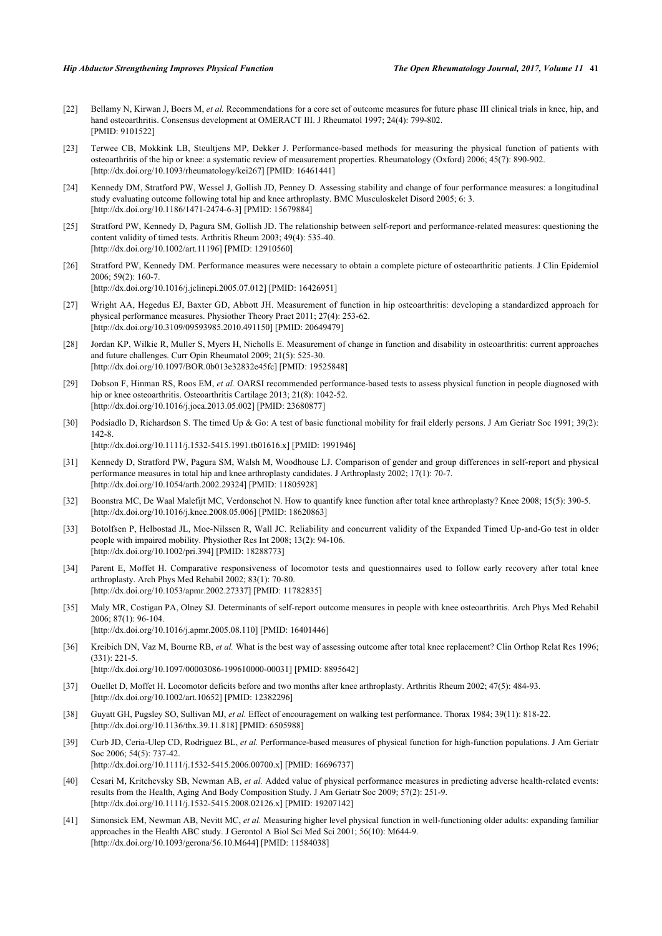- <span id="page-11-0"></span>[22] Bellamy N, Kirwan J, Boers M, et al. Recommendations for a core set of outcome measures for future phase III clinical trials in knee, hip, and hand osteoarthritis. Consensus development at OMERACT III. J Rheumatol 1997; 24(4): 799-802. [PMID: [9101522\]](http://www.ncbi.nlm.nih.gov/pubmed/9101522)
- <span id="page-11-1"></span>[23] Terwee CB, Mokkink LB, Steultjens MP, Dekker J. Performance-based methods for measuring the physical function of patients with osteoarthritis of the hip or knee: a systematic review of measurement properties. Rheumatology (Oxford) 2006; 45(7): 890-902. [\[http://dx.doi.org/10.1093/rheumatology/kei267](http://dx.doi.org/10.1093/rheumatology/kei267)] [PMID: [16461441\]](http://www.ncbi.nlm.nih.gov/pubmed/16461441)
- <span id="page-11-2"></span>[24] Kennedy DM, Stratford PW, Wessel J, Gollish JD, Penney D. Assessing stability and change of four performance measures: a longitudinal study evaluating outcome following total hip and knee arthroplasty. BMC Musculoskelet Disord 2005; 6: 3. [\[http://dx.doi.org/10.1186/1471-2474-6-3\]](http://dx.doi.org/10.1186/1471-2474-6-3) [PMID: [15679884](http://www.ncbi.nlm.nih.gov/pubmed/15679884)]
- <span id="page-11-4"></span>[25] Stratford PW, Kennedy D, Pagura SM, Gollish JD. The relationship between self-report and performance-related measures: questioning the content validity of timed tests. Arthritis Rheum 2003; 49(4): 535-40. [\[http://dx.doi.org/10.1002/art.11196](http://dx.doi.org/10.1002/art.11196)] [PMID: [12910560\]](http://www.ncbi.nlm.nih.gov/pubmed/12910560)
- <span id="page-11-3"></span>[26] Stratford PW, Kennedy DM. Performance measures were necessary to obtain a complete picture of osteoarthritic patients. J Clin Epidemiol 2006; 59(2): 160-7. [\[http://dx.doi.org/10.1016/j.jclinepi.2005.07.012](http://dx.doi.org/10.1016/j.jclinepi.2005.07.012)] [PMID: [16426951\]](http://www.ncbi.nlm.nih.gov/pubmed/16426951)
- [27] Wright AA, Hegedus EJ, Baxter GD, Abbott JH. Measurement of function in hip osteoarthritis: developing a standardized approach for physical performance measures. Physiother Theory Pract 2011; 27(4): 253-62. [\[http://dx.doi.org/10.3109/09593985.2010.491150\]](http://dx.doi.org/10.3109/09593985.2010.491150) [PMID: [20649479](http://www.ncbi.nlm.nih.gov/pubmed/20649479)]
- <span id="page-11-5"></span>[28] Jordan KP, Wilkie R, Muller S, Myers H, Nicholls E. Measurement of change in function and disability in osteoarthritis: current approaches and future challenges. Curr Opin Rheumatol 2009; 21(5): 525-30. [\[http://dx.doi.org/10.1097/BOR.0b013e32832e45fc\]](http://dx.doi.org/10.1097/BOR.0b013e32832e45fc) [PMID: [19525848](http://www.ncbi.nlm.nih.gov/pubmed/19525848)]
- <span id="page-11-6"></span>[29] Dobson F, Hinman RS, Roos EM, *et al.* OARSI recommended performance-based tests to assess physical function in people diagnosed with hip or knee osteoarthritis. Osteoarthritis Cartilage 2013; 21(8): 1042-52. [\[http://dx.doi.org/10.1016/j.joca.2013.05.002](http://dx.doi.org/10.1016/j.joca.2013.05.002)] [PMID: [23680877\]](http://www.ncbi.nlm.nih.gov/pubmed/23680877)
- [30] Podsiadlo D, Richardson S. The timed Up & Go: A test of basic functional mobility for frail elderly persons. J Am Geriatr Soc 1991; 39(2): 142-8. [\[http://dx.doi.org/10.1111/j.1532-5415.1991.tb01616.x\]](http://dx.doi.org/10.1111/j.1532-5415.1991.tb01616.x) [PMID: [1991946](http://www.ncbi.nlm.nih.gov/pubmed/1991946)]

- <span id="page-11-7"></span>[31] Kennedy D, Stratford PW, Pagura SM, Walsh M, Woodhouse LJ. Comparison of gender and group differences in self-report and physical performance measures in total hip and knee arthroplasty candidates. J Arthroplasty 2002; 17(1): 70-7. [\[http://dx.doi.org/10.1054/arth.2002.29324](http://dx.doi.org/10.1054/arth.2002.29324)] [PMID: [11805928\]](http://www.ncbi.nlm.nih.gov/pubmed/11805928)
- <span id="page-11-8"></span>[32] Boonstra MC, De Waal Malefijt MC, Verdonschot N. How to quantify knee function after total knee arthroplasty? Knee 2008; 15(5): 390-5. [\[http://dx.doi.org/10.1016/j.knee.2008.05.006](http://dx.doi.org/10.1016/j.knee.2008.05.006)] [PMID: [18620863\]](http://www.ncbi.nlm.nih.gov/pubmed/18620863)
- <span id="page-11-9"></span>[33] Botolfsen P, Helbostad JL, Moe-Nilssen R, Wall JC. Reliability and concurrent validity of the Expanded Timed Up-and-Go test in older people with impaired mobility. Physiother Res Int 2008; 13(2): 94-106. [\[http://dx.doi.org/10.1002/pri.394\]](http://dx.doi.org/10.1002/pri.394) [PMID: [18288773](http://www.ncbi.nlm.nih.gov/pubmed/18288773)]
- <span id="page-11-10"></span>[34] Parent E, Moffet H. Comparative responsiveness of locomotor tests and questionnaires used to follow early recovery after total knee arthroplasty. Arch Phys Med Rehabil 2002; 83(1): 70-80. [\[http://dx.doi.org/10.1053/apmr.2002.27337](http://dx.doi.org/10.1053/apmr.2002.27337)] [PMID: [11782835\]](http://www.ncbi.nlm.nih.gov/pubmed/11782835)
- <span id="page-11-12"></span>[35] Maly MR, Costigan PA, Olney SJ. Determinants of self-report outcome measures in people with knee osteoarthritis. Arch Phys Med Rehabil 2006; 87(1): 96-104. [\[http://dx.doi.org/10.1016/j.apmr.2005.08.110](http://dx.doi.org/10.1016/j.apmr.2005.08.110)] [PMID: [16401446](http://www.ncbi.nlm.nih.gov/pubmed/16401446)]
- [36] Kreibich DN, Vaz M, Bourne RB, et al. What is the best way of assessing outcome after total knee replacement? Clin Orthop Relat Res 1996; (331): 221-5.

[\[http://dx.doi.org/10.1097/00003086-199610000-00031](http://dx.doi.org/10.1097/00003086-199610000-00031)] [PMID: [8895642\]](http://www.ncbi.nlm.nih.gov/pubmed/8895642)

- <span id="page-11-11"></span>[37] Ouellet D, Moffet H. Locomotor deficits before and two months after knee arthroplasty. Arthritis Rheum 2002; 47(5): 484-93. [\[http://dx.doi.org/10.1002/art.10652](http://dx.doi.org/10.1002/art.10652)] [PMID: [12382296\]](http://www.ncbi.nlm.nih.gov/pubmed/12382296)
- <span id="page-11-13"></span>[38] Guyatt GH, Pugsley SO, Sullivan MJ, *et al.* Effect of encouragement on walking test performance. Thorax 1984; 39(11): 818-22. [\[http://dx.doi.org/10.1136/thx.39.11.818](http://dx.doi.org/10.1136/thx.39.11.818)] [PMID: [6505988\]](http://www.ncbi.nlm.nih.gov/pubmed/6505988)
- <span id="page-11-14"></span>[39] Curb JD, Ceria-Ulep CD, Rodriguez BL, *et al.* Performance-based measures of physical function for high-function populations. J Am Geriatr Soc 2006; 54(5): 737-42. [\[http://dx.doi.org/10.1111/j.1532-5415.2006.00700.x\]](http://dx.doi.org/10.1111/j.1532-5415.2006.00700.x) [PMID: [16696737](http://www.ncbi.nlm.nih.gov/pubmed/16696737)]
- [40] Cesari M, Kritchevsky SB, Newman AB, *et al.* Added value of physical performance measures in predicting adverse health-related events: results from the Health, Aging And Body Composition Study. J Am Geriatr Soc 2009; 57(2): 251-9.
	- [\[http://dx.doi.org/10.1111/j.1532-5415.2008.02126.x\]](http://dx.doi.org/10.1111/j.1532-5415.2008.02126.x) [PMID: [19207142](http://www.ncbi.nlm.nih.gov/pubmed/19207142)]
- [41] Simonsick EM, Newman AB, Nevitt MC, *et al.* Measuring higher level physical function in well-functioning older adults: expanding familiar approaches in the Health ABC study. J Gerontol A Biol Sci Med Sci 2001; 56(10): M644-9. [\[http://dx.doi.org/10.1093/gerona/56.10.M644\]](http://dx.doi.org/10.1093/gerona/56.10.M644) [PMID: [11584038](http://www.ncbi.nlm.nih.gov/pubmed/11584038)]